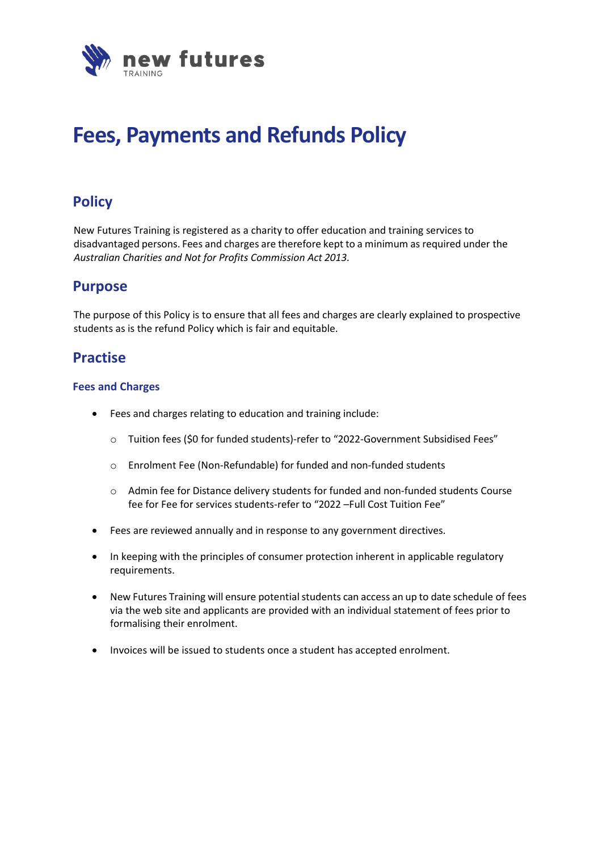

# **Fees, Payments and Refunds Policy**

# **Policy**

New Futures Training is registered as a charity to offer education and training services to disadvantaged persons. Fees and charges are therefore kept to a minimum as required under the *Australian Charities and Not for Profits Commission Act 2013.*

## **Purpose**

The purpose of this Policy is to ensure that all fees and charges are clearly explained to prospective students as is the refund Policy which is fair and equitable.

## **Practise**

#### **Fees and Charges**

- Fees and charges relating to education and training include:
	- o Tuition fees (\$0 for funded students)-refer to "2022-Government Subsidised Fees"
	- o Enrolment Fee (Non-Refundable) for funded and non-funded students
	- $\circ$  Admin fee for Distance delivery students for funded and non-funded students Course fee for Fee for services students-refer to "2022 –Full Cost Tuition Fee"
- Fees are reviewed annually and in response to any government directives.
- In keeping with the principles of consumer protection inherent in applicable regulatory requirements.
- New Futures Training will ensure potential students can access an up to date schedule of fees via the web site and applicants are provided with an individual statement of fees prior to formalising their enrolment.
- Invoices will be issued to students once a student has accepted enrolment.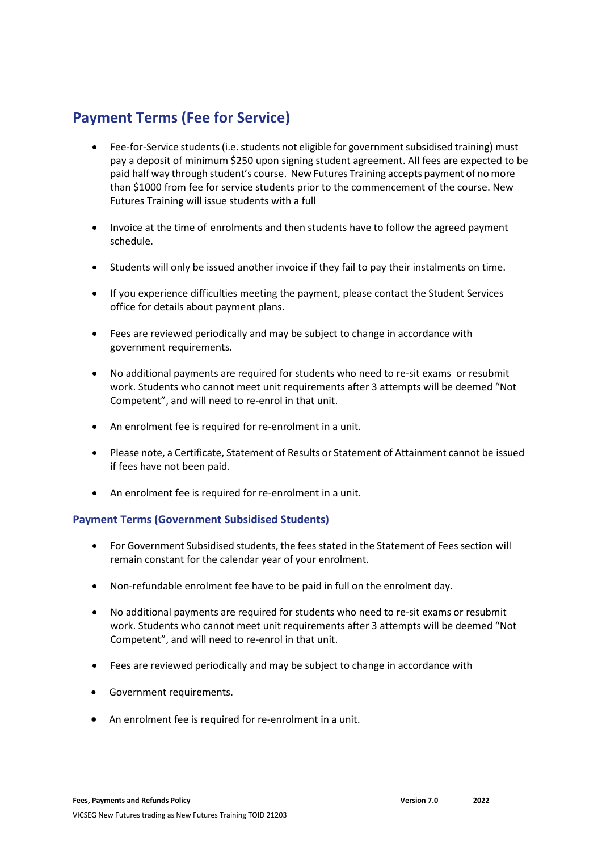# **Payment Terms (Fee for Service)**

- Fee-for-Service students (i.e. students not eligible for government subsidised training) must pay a deposit of minimum \$250 upon signing student agreement. All fees are expected to be paid half way through student's course. New Futures Training accepts payment of no more than \$1000 from fee for service students prior to the commencement of the course. New Futures Training will issue students with a full
- Invoice at the time of enrolments and then students have to follow the agreed payment schedule.
- Students will only be issued another invoice if they fail to pay their instalments on time.
- If you experience difficulties meeting the payment, please contact the Student Services office for details about payment plans.
- Fees are reviewed periodically and may be subject to change in accordance with government requirements.
- No additional payments are required for students who need to re-sit exams or resubmit work. Students who cannot meet unit requirements after 3 attempts will be deemed "Not Competent", and will need to re-enrol in that unit.
- An enrolment fee is required for re-enrolment in a unit.
- Please note, a Certificate, Statement of Results or Statement of Attainment cannot be issued if fees have not been paid.
- An enrolment fee is required for re-enrolment in a unit.

#### **Payment Terms (Government Subsidised Students)**

- For Government Subsidised students, the fees stated in the Statement of Fees section will remain constant for the calendar year of your enrolment.
- Non-refundable enrolment fee have to be paid in full on the enrolment day.
- No additional payments are required for students who need to re-sit exams or resubmit work. Students who cannot meet unit requirements after 3 attempts will be deemed "Not Competent", and will need to re-enrol in that unit.
- Fees are reviewed periodically and may be subject to change in accordance with
- Government requirements.
- An enrolment fee is required for re-enrolment in a unit.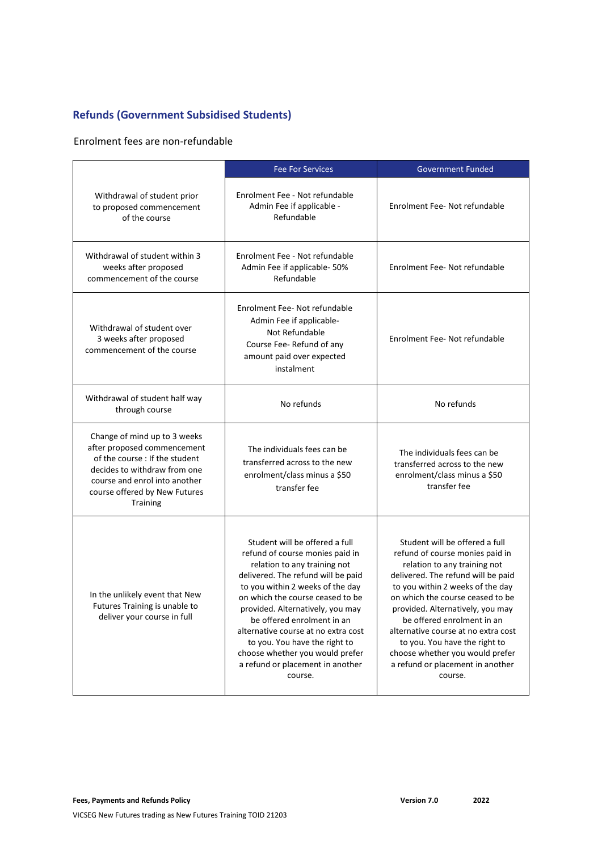### **Refunds (Government Subsidised Students)**

Enrolment fees are non-refundable

|                                                                                                                                                                                                                    | <b>Fee For Services</b>                                                                                                                                                                                                                                                                                                                                                                                                                     | <b>Government Funded</b>                                                                                                                                                                                                                                                                                                                                                                                                                    |
|--------------------------------------------------------------------------------------------------------------------------------------------------------------------------------------------------------------------|---------------------------------------------------------------------------------------------------------------------------------------------------------------------------------------------------------------------------------------------------------------------------------------------------------------------------------------------------------------------------------------------------------------------------------------------|---------------------------------------------------------------------------------------------------------------------------------------------------------------------------------------------------------------------------------------------------------------------------------------------------------------------------------------------------------------------------------------------------------------------------------------------|
| Withdrawal of student prior<br>to proposed commencement<br>of the course                                                                                                                                           | Enrolment Fee - Not refundable<br>Admin Fee if applicable -<br>Refundable                                                                                                                                                                                                                                                                                                                                                                   | Enrolment Fee- Not refundable                                                                                                                                                                                                                                                                                                                                                                                                               |
| Withdrawal of student within 3<br>weeks after proposed<br>commencement of the course                                                                                                                               | Enrolment Fee - Not refundable<br>Admin Fee if applicable- 50%<br>Refundable                                                                                                                                                                                                                                                                                                                                                                | Enrolment Fee-Not refundable                                                                                                                                                                                                                                                                                                                                                                                                                |
| Withdrawal of student over<br>3 weeks after proposed<br>commencement of the course                                                                                                                                 | Enrolment Fee-Not refundable<br>Admin Fee if applicable-<br>Not Refundable<br>Course Fee- Refund of any<br>amount paid over expected<br>instalment                                                                                                                                                                                                                                                                                          | Enrolment Fee-Not refundable                                                                                                                                                                                                                                                                                                                                                                                                                |
| Withdrawal of student half way<br>through course                                                                                                                                                                   | No refunds                                                                                                                                                                                                                                                                                                                                                                                                                                  | No refunds                                                                                                                                                                                                                                                                                                                                                                                                                                  |
| Change of mind up to 3 weeks<br>after proposed commencement<br>of the course : If the student<br>decides to withdraw from one<br>course and enrol into another<br>course offered by New Futures<br><b>Training</b> | The individuals fees can be<br>transferred across to the new<br>enrolment/class minus a \$50<br>transfer fee                                                                                                                                                                                                                                                                                                                                | The individuals fees can be<br>transferred across to the new<br>enrolment/class minus a \$50<br>transfer fee                                                                                                                                                                                                                                                                                                                                |
| In the unlikely event that New<br>Futures Training is unable to<br>deliver your course in full                                                                                                                     | Student will be offered a full<br>refund of course monies paid in<br>relation to any training not<br>delivered. The refund will be paid<br>to you within 2 weeks of the day<br>on which the course ceased to be<br>provided. Alternatively, you may<br>be offered enrolment in an<br>alternative course at no extra cost<br>to you. You have the right to<br>choose whether you would prefer<br>a refund or placement in another<br>course. | Student will be offered a full<br>refund of course monies paid in<br>relation to any training not<br>delivered. The refund will be paid<br>to you within 2 weeks of the day<br>on which the course ceased to be<br>provided. Alternatively, you may<br>be offered enrolment in an<br>alternative course at no extra cost<br>to you. You have the right to<br>choose whether you would prefer<br>a refund or placement in another<br>course. |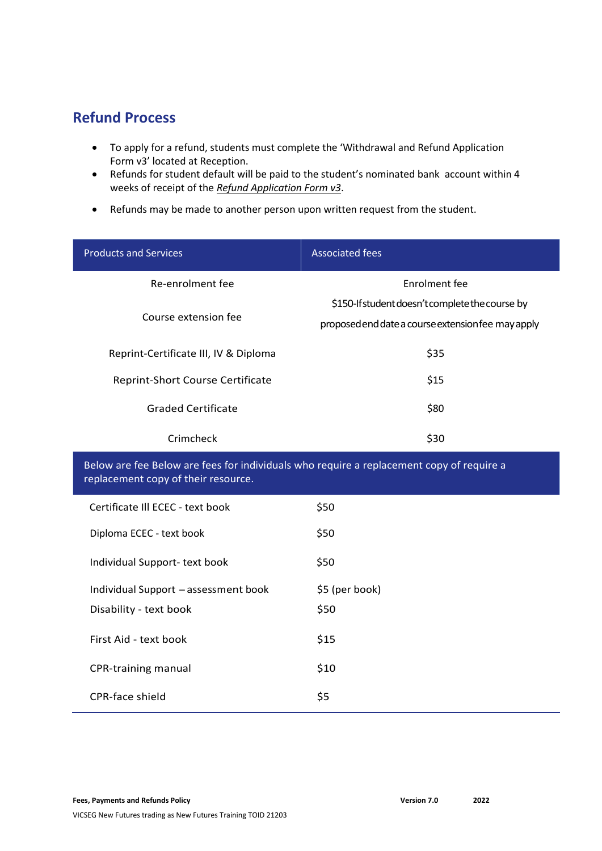# **Refund Process**

- To apply for a refund, students must complete the 'Withdrawal and Refund Application Form v3' located at Reception.
- Refunds for student default will be paid to the student's nominated bank account within 4 weeks of receipt of the *Refund Application Form v3*.
- Refunds may be made to another person upon written request from the student.

| <b>Products and Services</b>            | <b>Associated fees</b>                                                                                |
|-----------------------------------------|-------------------------------------------------------------------------------------------------------|
| Re-enrolment fee                        | Enrolment fee                                                                                         |
| Course extension fee                    | \$150-If student doesn't complete the course by<br>proposed end date a course extension fee may apply |
| Reprint-Certificate III, IV & Diploma   | \$35                                                                                                  |
| <b>Reprint-Short Course Certificate</b> | \$15                                                                                                  |
| Graded Certificate                      | \$80                                                                                                  |
| Crimcheck                               | \$30                                                                                                  |

Below are fee Below are fees for individuals who require a replacement copy of require a replacement copy of their resource.

| Certificate III ECEC - text book     | \$50           |
|--------------------------------------|----------------|
| Diploma ECEC - text book             | \$50           |
| Individual Support- text book        | \$50           |
| Individual Support - assessment book | \$5 (per book) |
| Disability - text book               | \$50           |
| First Aid - text book                | \$15           |
| CPR-training manual                  | \$10           |
| <b>CPR-face shield</b>               | \$5            |